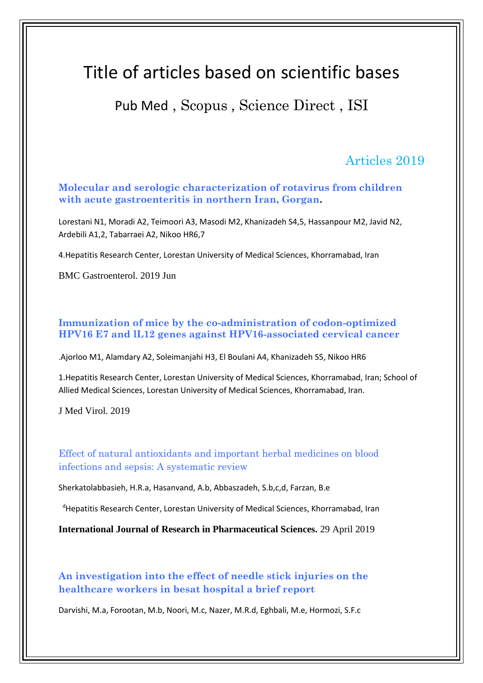# Title of articles based on scientific bases

# Pub Med , Scopus , Science Direct , ISI

### Articles 2019

**Molecular and serologic characterization of rotavirus from children with acute gastroenteritis in northern Iran, Gorgan.**

Lorestani N1, Moradi A2, Teimoori A3, Masodi M2, Khanizadeh S4,5, Hassanpour M2, Javid N2, Ardebili A1,2, Tabarraei A2, Nikoo HR6,7

4.Hepatitis Research Center, Lorestan University of Medical Sciences, Khorramabad, Iran

BMC Gastroenterol. 2019 Jun

#### **Immunization of mice by the co-administration of codon-optimized HPV16 E7 and lL12 genes against HPV16-associated cervical cancer**

.Ajorloo M1, Alamdary A2, Soleimanjahi H3, El Boulani A4, Khanizadeh S5, Nikoo HR6

1.Hepatitis Research Center, Lorestan University of Medical Sciences, Khorramabad, Iran; School of Allied Medical Sciences, Lorestan University of Medical Sciences, Khorramabad, Iran.

J Med Virol. 2019

Effect of natural antioxidants and important herbal medicines on blood infections and sepsis: A systematic review

Sherkatolabbasieh, H.R.a, Hasanvand, A.b, Abbaszadeh, S.b,c,d, Farzan, B.e

<sup>d</sup>Hepatitis Research Center, Lorestan University of Medical Sciences, Khorramabad, Iran

**International Journal of Research in Pharmaceutical Sciences.** 29 April 2019

**An investigation into the effect of needle stick injuries on the healthcare workers in besat hospital a brief report**

Darvishi, M.a, Forootan, M.b, Noori, M.c, Nazer, M.R.d, Eghbali, M.e, Hormozi, S.F.c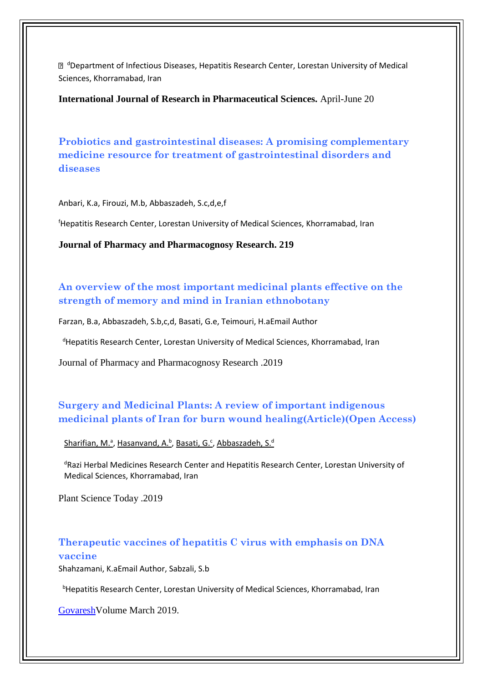<sup>d</sup>Department of Infectious Diseases, Hepatitis Research Center, Lorestan University of Medical Sciences, Khorramabad, Iran

**International Journal of Research in Pharmaceutical Sciences.** April-June 20

**Probiotics and gastrointestinal diseases: A promising complementary medicine resource for treatment of gastrointestinal disorders and diseases**

Anbari, K.a, Firouzi, M.b, Abbaszadeh, S.c,d,e,f

<sup>f</sup>Hepatitis Research Center, Lorestan University of Medical Sciences, Khorramabad, Iran

**Journal of Pharmacy and Pharmacognosy Research. 219**

### **An overview of the most important medicinal plants effective on the strength of memory and mind in Iranian ethnobotany**

Farzan, B.a, Abbaszadeh, S.b,c,d, Basati, G.e, Teimouri, H.aEmail Author

<sup>d</sup>Hepatitis Research Center, Lorestan University of Medical Sciences, Khorramabad, Iran

[Journal of Pharmacy and Pharmacognosy Research](https://www.scopus.com/sourceid/21100456601?origin=recordpage) .2019

### **Surgery and Medicinal Plants: A review of important indigenous medicinal plants of Iran for burn wound healing(Article)(Open Access)**

[Sharifian, M.](https://www.scopus.com/authid/detail.uri?authorId=47562183000&eid=2-s2.0-85066948804)<sup>a</sup>[, Hasanvand, A.](https://www.scopus.com/authid/detail.uri?authorId=57208824760&eid=2-s2.0-85066948804)<sup>b</sup>, [Basati, G.](https://www.scopus.com/authid/detail.uri?authorId=39261088200&eid=2-s2.0-85066948804)<sup>c</sup>, [Abbaszadeh, S.](https://www.scopus.com/authid/detail.uri?authorId=57194335679&eid=2-s2.0-85066948804)<sup>d</sup>

<sup>d</sup>Razi Herbal Medicines Research Center and Hepatitis Research Center, Lorestan University of Medical Sciences, Khorramabad, Iran

Plant Science Today .2019

#### **Therapeutic vaccines of hepatitis C virus with emphasis on DNA vaccine**

Shahzamani, K.aEmail Author, Sabzali, S.b

<sup>b</sup>Hepatitis Research Center, Lorestan University of Medical Sciences, Khorramabad, Iran

[GovareshV](https://www.scopus.com/sourceid/21100197167?origin=recordpage)olume March 2019.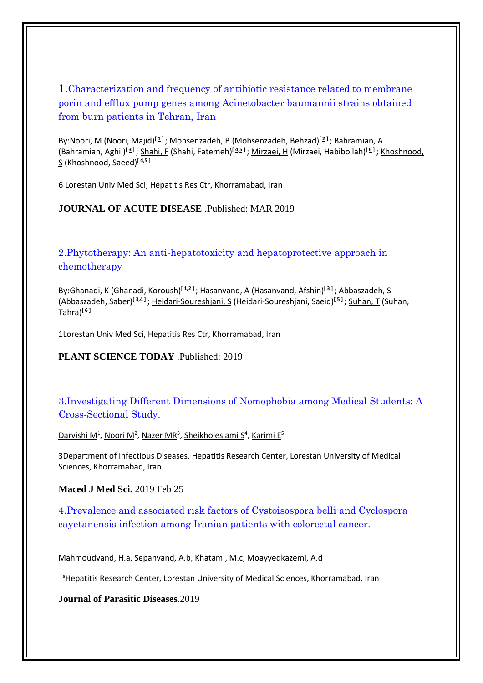1.Characterization and frequency of antibiotic resistance related to membrane porin and efflux pump genes among Acinetobacter baumannii strains obtained from burn patients in Tehran, Iran

By[:Noori, M](http://apps.webofknowledge.com/DaisyOneClickSearch.do?product=WOS&search_mode=DaisyOneClickSearch&colName=WOS&SID=D1NpmlBMPD5RcHNwuCg&author_name=Noori,%20M&dais_id=20242718&excludeEventConfig=ExcludeIfFromFullRecPage) (Noori, Majid)**[\[ 1](javascript:sup_focus() ]** ; [Mohsenzadeh, B](http://apps.webofknowledge.com/DaisyOneClickSearch.do?product=WOS&search_mode=DaisyOneClickSearch&colName=WOS&SID=D1NpmlBMPD5RcHNwuCg&author_name=Mohsenzadeh,%20B&dais_id=29868861&excludeEventConfig=ExcludeIfFromFullRecPage) (Mohsenzadeh, Behzad)**[\[ 2](javascript:sup_focus() ]** ; [Bahramian, A](http://apps.webofknowledge.com/DaisyOneClickSearch.do?product=WOS&search_mode=DaisyOneClickSearch&colName=WOS&SID=D1NpmlBMPD5RcHNwuCg&author_name=Bahramian,%20A&dais_id=6385099&excludeEventConfig=ExcludeIfFromFullRecPage) (Bahramian, Aghil)**[\[ 3](javascript:sup_focus() ]** ; [Shahi, F](http://apps.webofknowledge.com/DaisyOneClickSearch.do?product=WOS&search_mode=DaisyOneClickSearch&colName=WOS&SID=D1NpmlBMPD5RcHNwuCg&author_name=Shahi,%20F&dais_id=7285613&excludeEventConfig=ExcludeIfFromFullRecPage) (Shahi, Fatemeh)**[\[ 4,](javascript:sup_focus()[5](javascript:sup_focus() ]** [; Mirzaei, H](http://apps.webofknowledge.com/DaisyOneClickSearch.do?product=WOS&search_mode=DaisyOneClickSearch&colName=WOS&SID=D1NpmlBMPD5RcHNwuCg&author_name=Mirzaei,%20H&dais_id=2024441&excludeEventConfig=ExcludeIfFromFullRecPage) (Mirzaei, Habibollah)**[\[ 6](javascript:sup_focus() ]** ; [Khoshnood,](http://apps.webofknowledge.com/DaisyOneClickSearch.do?product=WOS&search_mode=DaisyOneClickSearch&colName=WOS&SID=D1NpmlBMPD5RcHNwuCg&author_name=Khoshnood,%20S&dais_id=3499803&excludeEventConfig=ExcludeIfFromFullRecPage)  [S](http://apps.webofknowledge.com/DaisyOneClickSearch.do?product=WOS&search_mode=DaisyOneClickSearch&colName=WOS&SID=D1NpmlBMPD5RcHNwuCg&author_name=Khoshnood,%20S&dais_id=3499803&excludeEventConfig=ExcludeIfFromFullRecPage) (Khoshnood, Saeed)**[\[ 4,](javascript:sup_focus()[5](javascript:sup_focus() ]** 

6 Lorestan Univ Med Sci, Hepatitis Res Ctr, Khorramabad, Iran

#### **JOURNAL OF ACUTE DISEASE** .Published: MAR 2019

2.Phytotherapy: An anti-hepatotoxicity and hepatoprotective approach in chemotherapy

By[:Ghanadi, K](http://apps.webofknowledge.com/DaisyOneClickSearch.do?product=WOS&search_mode=DaisyOneClickSearch&colName=WOS&SID=D1NpmlBMPD5RcHNwuCg&author_name=Ghanadi,%20K&dais_id=3995868&excludeEventConfig=ExcludeIfFromFullRecPage) (Ghanadi, Koroush)**[\[ 1,](javascript:sup_focus()[2](javascript:sup_focus() ]** [; Hasanvand, A](http://apps.webofknowledge.com/DaisyOneClickSearch.do?product=WOS&search_mode=DaisyOneClickSearch&colName=WOS&SID=D1NpmlBMPD5RcHNwuCg&author_name=Hasanvand,%20A&dais_id=7736948&excludeEventConfig=ExcludeIfFromFullRecPage) (Hasanvand, Afshin)**[\[ 3](javascript:sup_focus() ]** [; Abbaszadeh, S](http://apps.webofknowledge.com/DaisyOneClickSearch.do?product=WOS&search_mode=DaisyOneClickSearch&colName=WOS&SID=D1NpmlBMPD5RcHNwuCg&author_name=Abbaszadeh,%20S&dais_id=7467950&excludeEventConfig=ExcludeIfFromFullRecPage) (Abbaszadeh, Saber)**[\[ 3,](javascript:sup_focus()[4](javascript:sup_focus() ]** ; [Heidari-Soureshjani, S](http://apps.webofknowledge.com/DaisyOneClickSearch.do?product=WOS&search_mode=DaisyOneClickSearch&colName=WOS&SID=D1NpmlBMPD5RcHNwuCg&author_name=Heidari-Soureshjani,%20S&dais_id=2215229&excludeEventConfig=ExcludeIfFromFullRecPage) (Heidari-Soureshjani, Saeid)**[\[ 5](javascript:sup_focus() ]** ; [Suhan, T](http://apps.webofknowledge.com/DaisyOneClickSearch.do?product=WOS&search_mode=DaisyOneClickSearch&colName=WOS&SID=D1NpmlBMPD5RcHNwuCg&author_name=Suhan,%20T&dais_id=29907603&excludeEventConfig=ExcludeIfFromFullRecPage) (Suhan, Tahra)**[\[ 6](javascript:sup_focus() ]** 

1Lorestan Univ Med Sci, Hepatitis Res Ctr, Khorramabad, Iran

#### **PLANT SCIENCE TODAY** .Published: 2019

3.Investigating Different Dimensions of Nomophobia among Medical Students: A Cross-Sectional Study.

Darvishi M<sup>1</sup>, Noori M<sup>2</sup>, Nazer MR<sup>3</sup>, Sheikholeslami S<sup>4</sup>, [Karimi E](https://www.ncbi.nlm.nih.gov/pubmed/?term=Karimi%20E%5BAuthor%5D&cauthor=true&cauthor_uid=30894914)<sup>5</sup>

3Department of Infectious Diseases, Hepatitis Research Center, Lorestan University of Medical Sciences, Khorramabad, Iran.

**[Maced J Med Sci.](https://www.ncbi.nlm.nih.gov/pubmed/30894914)** 2019 Feb 2[5](https://www.ncbi.nlm.nih.gov/pubmed/30894914)

4.Prevalence and associated risk factors of Cystoisospora belli and Cyclospora cayetanensis infection among Iranian patients with colorectal cancer.

Mahmoudvand, H.a, Sepahvand, A.b, Khatami, M.c, Moayyedkazemi, A.d

<sup>a</sup>Hepatitis Research Center, Lorestan University of Medical Sciences, Khorramabad, Iran

**[Journal of Parasitic Diseases](https://www.scopus.com/sourceid/19600166323?origin=recordpage)**.2019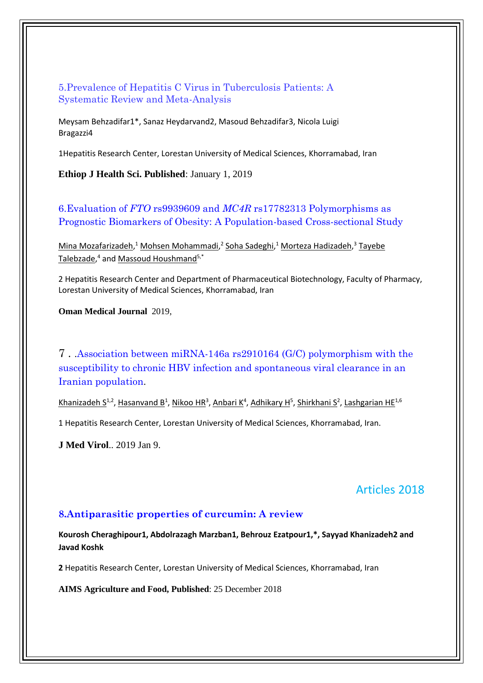5.Prevalence of Hepatitis C Virus in Tuberculosis Patients: A Systematic Review and Meta-Analysis

Meysam Behzadifar1\*, Sanaz Heydarvand2, Masoud Behzadifar3, Nicola Luigi Bragazzi4

1Hepatitis Research Center, Lorestan University of Medical Sciences, Khorramabad, Iran

**Ethiop J Health Sci. Published**: January 1, 2019

6.Evaluation of *FTO* rs9939609 and *MC4R* rs17782313 Polymorphisms as Prognostic Biomarkers of Obesity: A Population-based Cross-sectional Study

[Mina Mozafarizadeh,](https://www.ncbi.nlm.nih.gov/pubmed/?term=Mozafarizadeh%20M%5BAuthor%5D&cauthor=true&cauthor_uid=30671185)<sup>1</sup> [Mohsen Mohammadi,](https://www.ncbi.nlm.nih.gov/pubmed/?term=Mohammadi%20M%5BAuthor%5D&cauthor=true&cauthor_uid=30671185)<sup>2</sup> [Soha Sadeghi,](https://www.ncbi.nlm.nih.gov/pubmed/?term=Sadeghi%20S%5BAuthor%5D&cauthor=true&cauthor_uid=30671185)<sup>1</sup> [Morteza Hadizadeh,](https://www.ncbi.nlm.nih.gov/pubmed/?term=Hadizadeh%20M%5BAuthor%5D&cauthor=true&cauthor_uid=30671185)<sup>3</sup> Tayebe [Talebzade,](https://www.ncbi.nlm.nih.gov/pubmed/?term=Talebzade%20T%5BAuthor%5D&cauthor=true&cauthor_uid=30671185)<sup>4</sup> and <u>Massoud Houshmand<sup>5,\*</sup></u>

2 Hepatitis Research Center and Department of Pharmaceutical Biotechnology, Faculty of Pharmacy, Lorestan University of Medical Sciences, Khorramabad, Iran

**Oman Medical Journal** 2019,

7 . .Association between miRNA-146a rs2910164 (G/C) polymorphism with the susceptibility to chronic HBV infection and spontaneous viral clearance in an Iranian population.

Khanizadeh S<sup>1[,](https://www.ncbi.nlm.nih.gov/pubmed/?term=Khanizadeh%20S%5BAuthor%5D&cauthor=true&cauthor_uid=30624803)2</sup>, Hasanvand B<sup>1</sup>, Nikoo HR<sup>3</sup>, Anbari K<sup>4</sup>, Adhikary H<sup>5</sup>, Shirkhani S<sup>2</sup>, [Lashgarian HE](https://www.ncbi.nlm.nih.gov/pubmed/?term=Lashgarian%20HE%5BAuthor%5D&cauthor=true&cauthor_uid=30624803)<sup>1,6</sup>

1 Hepatitis Research Center, Lorestan University of Medical Sciences, Khorramabad, Iran.

**J Med Virol**.. 2019 Jan 9.

### Articles 2018

#### **8.Antiparasitic properties of curcumin: A review**

**Kourosh Cheraghipour1, Abdolrazagh Marzban1, Behrouz Ezatpour1,\*, Sayyad Khanizadeh2 and Javad Koshk**

**2** Hepatitis Research Center, Lorestan University of Medical Sciences, Khorramabad, Iran

**AIMS Agriculture and Food, Published**: 25 December 2018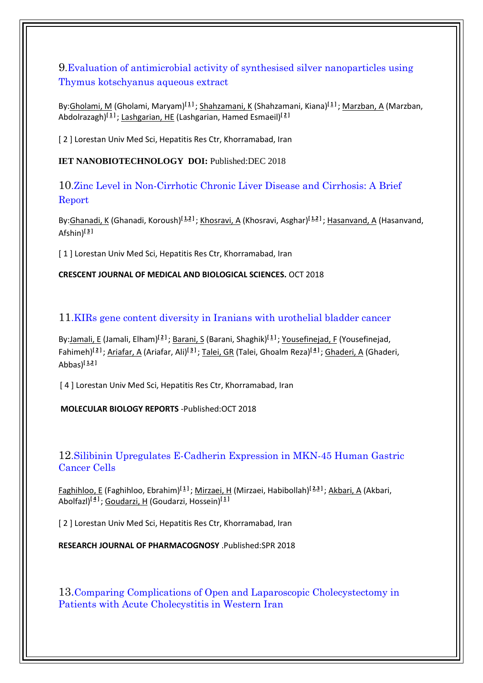9.Evaluation of antimicrobial activity of synthesised silver nanoparticles using Thymus kotschyanus aqueous extract

By[:Gholami, M](http://apps.webofknowledge.com/DaisyOneClickSearch.do?product=WOS&search_mode=DaisyOneClickSearch&colName=WOS&SID=F2Mwo6lu8ShzzqcWotm&author_name=Gholami,%20M&dais_id=1580615&excludeEventConfig=ExcludeIfFromFullRecPage) (Gholami, Maryam)**[\[ 1](javascript:sup_focus() ]** ; [Shahzamani, K](http://apps.webofknowledge.com/DaisyOneClickSearch.do?product=WOS&search_mode=DaisyOneClickSearch&colName=WOS&SID=F2Mwo6lu8ShzzqcWotm&author_name=Shahzamani,%20K&dais_id=3675427&excludeEventConfig=ExcludeIfFromFullRecPage) (Shahzamani, Kiana)**[\[ 1](javascript:sup_focus() ]** ; [Marzban, A](http://apps.webofknowledge.com/DaisyOneClickSearch.do?product=WOS&search_mode=DaisyOneClickSearch&colName=WOS&SID=F2Mwo6lu8ShzzqcWotm&author_name=Marzban,%20A&dais_id=4371152&excludeEventConfig=ExcludeIfFromFullRecPage) (Marzban, Abdolrazagh)**[\[ 1](javascript:sup_focus() ]** ; [Lashgarian, HE](http://apps.webofknowledge.com/DaisyOneClickSearch.do?product=WOS&search_mode=DaisyOneClickSearch&colName=WOS&SID=F2Mwo6lu8ShzzqcWotm&author_name=Lashgarian,%20HE&dais_id=7933003&excludeEventConfig=ExcludeIfFromFullRecPage) (Lashgarian, Hamed Esmaeil)**[\[ 2](javascript:sup_focus() ]** 

[ 2 ] Lorestan Univ Med Sci, Hepatitis Res Ctr, Khorramabad, Iran

**IET NANOBIOTECHNOLOGY DOI:** Published:DEC 2018

10.Zinc Level in Non-Cirrhotic Chronic Liver Disease and Cirrhosis: A Brief Report

By: Ghanadi, K (Ghanadi, Koroush)<sup>[1,2</sup><sup>1</sup>; Khosravi, A (Khosravi, Asghar)<sup>[1,21</sup>; [Hasanvand, A](http://apps.webofknowledge.com/OneClickSearch.do?product=WOS&search_mode=OneClickSearch&excludeEventConfig=ExcludeIfFromFullRecPage&colName=WOS&SID=F6pQ2LZ9tjBhTmzgAkR&field=AU&value=Hasanvand,%20A) (Hasanvand, **[\[ 3](javascript:sup_focus() ]** Afshin)

[1] Lorestan Univ Med Sci, Hepatitis Res Ctr, Khorramabad, Iran

#### **CRESCENT JOURNAL OF MEDICAL AND BIOLOGICAL SCIENCES.** OCT 2018

11.KIRs gene content diversity in Iranians with urothelial bladder cancer

By:Jamali, E (Jamali, Elham)<sup>[2]</sup>; Barani, S (Barani, Shaghik)<sup>[1]</sup>[; Yousefinejad, F](http://apps.webofknowledge.com/DaisyOneClickSearch.do?product=WOS&search_mode=DaisyOneClickSearch&colName=WOS&SID=F6pQ2LZ9tjBhTmzgAkR&author_name=Yousefinejad,%20F&dais_id=27984508&excludeEventConfig=ExcludeIfFromFullRecPage) (Yousefinejad, [; Ghaderi, A](http://apps.webofknowledge.com/DaisyOneClickSearch.do?product=WOS&search_mode=DaisyOneClickSearch&colName=WOS&SID=F6pQ2LZ9tjBhTmzgAkR&author_name=Ghaderi,%20A&dais_id=54084&excludeEventConfig=ExcludeIfFromFullRecPage) (Ghaderi, **[\[ 4](javascript:sup_focus() ]** ; [Talei, GR](http://apps.webofknowledge.com/DaisyOneClickSearch.do?product=WOS&search_mode=DaisyOneClickSearch&colName=WOS&SID=F6pQ2LZ9tjBhTmzgAkR&author_name=Talei,%20GR&dais_id=28010263&excludeEventConfig=ExcludeIfFromFullRecPage) (Talei, Ghoalm Reza) **[\[ 3](javascript:sup_focus() ]** ; [Ariafar, A](http://apps.webofknowledge.com/DaisyOneClickSearch.do?product=WOS&search_mode=DaisyOneClickSearch&colName=WOS&SID=F6pQ2LZ9tjBhTmzgAkR&author_name=Ariafar,%20A&dais_id=2152831&excludeEventConfig=ExcludeIfFromFullRecPage) (Ariafar, Ali) **[\[ 2](javascript:sup_focus() ]** Fahimeh) **[\[ 1](javascript:sup_focus()[,2](javascript:sup_focus() ]** Abbas)

[4] Lorestan Univ Med Sci, Hepatitis Res Ctr, Khorramabad, Iran

**MOLECULAR BIOLOGY REPORTS** -Published:OCT 2018

### 12.Silibinin Upregulates E-Cadherin Expression in MKN-45 Human Gastric Cancer Cells

[Faghihloo, E](http://apps.webofknowledge.com/DaisyOneClickSearch.do?product=WOS&search_mode=DaisyOneClickSearch&colName=WOS&SID=F6pQ2LZ9tjBhTmzgAkR&author_name=Faghihloo,%20E&dais_id=1998073&excludeEventConfig=ExcludeIfFromFullRecPage) (Faghihloo, Ebrahim)**[\[ 1](javascript:sup_focus() ]** ; [Mirzaei, H](http://apps.webofknowledge.com/DaisyOneClickSearch.do?product=WOS&search_mode=DaisyOneClickSearch&colName=WOS&SID=F6pQ2LZ9tjBhTmzgAkR&author_name=Mirzaei,%20H&dais_id=2024441&excludeEventConfig=ExcludeIfFromFullRecPage) (Mirzaei, Habibollah)**[\[ 2,](javascript:sup_focus()[3](javascript:sup_focus() ]** ; [Akbari, A](http://apps.webofknowledge.com/DaisyOneClickSearch.do?product=WOS&search_mode=DaisyOneClickSearch&colName=WOS&SID=F6pQ2LZ9tjBhTmzgAkR&author_name=Akbari,%20A&dais_id=1363581&excludeEventConfig=ExcludeIfFromFullRecPage) (Akbari, Abolfazl)**[\[ 4](javascript:sup_focus() ]** [; Goudarzi, H](http://apps.webofknowledge.com/DaisyOneClickSearch.do?product=WOS&search_mode=DaisyOneClickSearch&colName=WOS&SID=F6pQ2LZ9tjBhTmzgAkR&author_name=Goudarzi,%20H&dais_id=340444&excludeEventConfig=ExcludeIfFromFullRecPage) (Goudarzi, Hossein)**[\[ 1](javascript:sup_focus() ]**

[2] Lorestan Univ Med Sci, Hepatitis Res Ctr, Khorramabad, Iran

**RESEARCH JOURNAL OF PHARMACOGNOSY** .Published:SPR 2018

13.Comparing Complications of Open and Laparoscopic Cholecystectomy in Patients with Acute Cholecystitis in Western Iran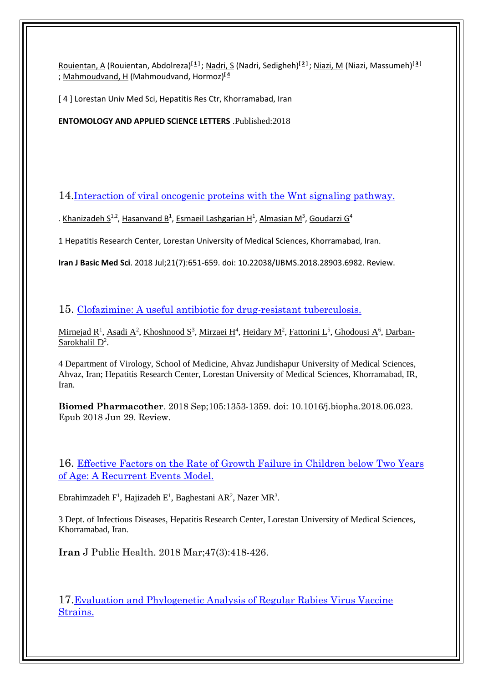[Rouientan, A](http://apps.webofknowledge.com/DaisyOneClickSearch.do?product=WOS&search_mode=DaisyOneClickSearch&colName=WOS&SID=F6pQ2LZ9tjBhTmzgAkR&author_name=Rouientan,%20A&dais_id=27876982&excludeEventConfig=ExcludeIfFromFullRecPage&cacheurlFromRightClick=no) (Rouientan, Abdolreza) **[\[ 1](javascript:sup_focus() ]** [; Nadri, S](http://apps.webofknowledge.com/DaisyOneClickSearch.do?product=WOS&search_mode=DaisyOneClickSearch&colName=WOS&SID=F6pQ2LZ9tjBhTmzgAkR&author_name=Nadri,%20S&dais_id=4901221&excludeEventConfig=ExcludeIfFromFullRecPage) (Nadri, Sedigheh)**[\[ 2](javascript:sup_focus() ]** [; Niazi, M](http://apps.webofknowledge.com/DaisyOneClickSearch.do?product=WOS&search_mode=DaisyOneClickSearch&colName=WOS&SID=F6pQ2LZ9tjBhTmzgAkR&author_name=Niazi,%20M&dais_id=27873563&excludeEventConfig=ExcludeIfFromFullRecPage) (Niazi, Massumeh)**[\[ 3](javascript:sup_focus() ]**  ; [Mahmoudvand, H](http://apps.webofknowledge.com/DaisyOneClickSearch.do?product=WOS&search_mode=DaisyOneClickSearch&colName=WOS&SID=F6pQ2LZ9tjBhTmzgAkR&author_name=Mahmoudvand,%20H&dais_id=4208373&excludeEventConfig=ExcludeIfFromFullRecPage) (Mahmoudvand, Hormoz)**[\[ 4](javascript:sup_focus()**

[4] Lorestan Univ Med Sci, Hepatitis Res Ctr, Khorramabad, Iran

**ENTOMOLOGY AND APPLIED SCIENCE LETTERS** .Published:2018

14[.Interaction of viral oncogenic proteins with the Wnt signaling pathway.](https://www.ncbi.nlm.nih.gov/pubmed/30140402)

. [Khanizadeh S](https://www.ncbi.nlm.nih.gov/pubmed/?term=Khanizadeh%20S%5BAuthor%5D&cauthor=true&cauthor_uid=30140402)<sup>1,2</sup>, [Hasanvand B](https://www.ncbi.nlm.nih.gov/pubmed/?term=Hasanvand%20B%5BAuthor%5D&cauthor=true&cauthor_uid=30140402)<sup>1</sup>, [Esmaeil Lashgarian H](https://www.ncbi.nlm.nih.gov/pubmed/?term=Esmaeil%20Lashgarian%20H%5BAuthor%5D&cauthor=true&cauthor_uid=30140402)<sup>1</sup>, [Almasian M](https://www.ncbi.nlm.nih.gov/pubmed/?term=Almasian%20M%5BAuthor%5D&cauthor=true&cauthor_uid=30140402)<sup>3</sup>, [Goudarzi G](https://www.ncbi.nlm.nih.gov/pubmed/?term=Goudarzi%20G%5BAuthor%5D&cauthor=true&cauthor_uid=30140402)<sup>4</sup>

1 Hepatitis Research Center, Lorestan University of Medical Sciences, Khorramabad, Iran.

**Iran J Basic Med Sci**. 2018 Jul;21(7):651-659. doi: 10.22038/IJBMS.2018.28903.6982. Review.

15. [Clofazimine: A useful antibiotic for drug-resistant tuberculosis.](https://www.ncbi.nlm.nih.gov/pubmed/30021373)

[Mirnejad R](https://www.ncbi.nlm.nih.gov/pubmed/?term=Mirnejad%20R%5BAuthor%5D&cauthor=true&cauthor_uid=30021373)<sup>1</sup>, [Asadi A](https://www.ncbi.nlm.nih.gov/pubmed/?term=Asadi%20A%5BAuthor%5D&cauthor=true&cauthor_uid=30021373)<sup>2</sup>, [Khoshnood S](https://www.ncbi.nlm.nih.gov/pubmed/?term=Khoshnood%20S%5BAuthor%5D&cauthor=true&cauthor_uid=30021373)<sup>3</sup>, [Mirzaei H](https://www.ncbi.nlm.nih.gov/pubmed/?term=Mirzaei%20H%5BAuthor%5D&cauthor=true&cauthor_uid=30021373)<sup>4</sup>, [Heidary M](https://www.ncbi.nlm.nih.gov/pubmed/?term=Heidary%20M%5BAuthor%5D&cauthor=true&cauthor_uid=30021373)<sup>2</sup>, [Fattorini L](https://www.ncbi.nlm.nih.gov/pubmed/?term=Fattorini%20L%5BAuthor%5D&cauthor=true&cauthor_uid=30021373)<sup>5</sup>, [Ghodousi A](https://www.ncbi.nlm.nih.gov/pubmed/?term=Ghodousi%20A%5BAuthor%5D&cauthor=true&cauthor_uid=30021373)<sup>6</sup>, [Darban-](https://www.ncbi.nlm.nih.gov/pubmed/?term=Darban-Sarokhalil%20D%5BAuthor%5D&cauthor=true&cauthor_uid=30021373)[Sarokhalil D](https://www.ncbi.nlm.nih.gov/pubmed/?term=Darban-Sarokhalil%20D%5BAuthor%5D&cauthor=true&cauthor_uid=30021373)<sup>2</sup>.

4 Department of Virology, School of Medicine, Ahvaz Jundishapur University of Medical Sciences, Ahvaz, Iran; Hepatitis Research Center, Lorestan University of Medical Sciences, Khorramabad, IR, Iran.

**Biomed Pharmacother**. 2018 Sep;105:1353-1359. doi: 10.1016/j.biopha.2018.06.023. Epub 2018 Jun 29. Review.

16. [Effective Factors on the Rate of Growth Failure in Children below Two Years](https://www.ncbi.nlm.nih.gov/pubmed/29845031)  [of Age: A Recurrent Events Model.](https://www.ncbi.nlm.nih.gov/pubmed/29845031)

[Ebrahimzadeh F](https://www.ncbi.nlm.nih.gov/pubmed/?term=Ebrahimzadeh%20F%5BAuthor%5D&cauthor=true&cauthor_uid=29845031)<sup>1</sup>, [Hajizadeh E](https://www.ncbi.nlm.nih.gov/pubmed/?term=Hajizadeh%20E%5BAuthor%5D&cauthor=true&cauthor_uid=29845031)<sup>1</sup>, [Baghestani AR](https://www.ncbi.nlm.nih.gov/pubmed/?term=Baghestani%20AR%5BAuthor%5D&cauthor=true&cauthor_uid=29845031)<sup>2</sup>, [Nazer MR](https://www.ncbi.nlm.nih.gov/pubmed/?term=Nazer%20MR%5BAuthor%5D&cauthor=true&cauthor_uid=29845031)<sup>3</sup>.

3 Dept. of Infectious Diseases, Hepatitis Research Center, Lorestan University of Medical Sciences, Khorramabad, Iran.

**Iran** J Public Health. 2018 Mar;47(3):418-426.

17.[Evaluation and Phylogenetic Analysis of Regular Rabies Virus Vaccine](https://www.ncbi.nlm.nih.gov/pubmed/29688735)  [Strains.](https://www.ncbi.nlm.nih.gov/pubmed/29688735)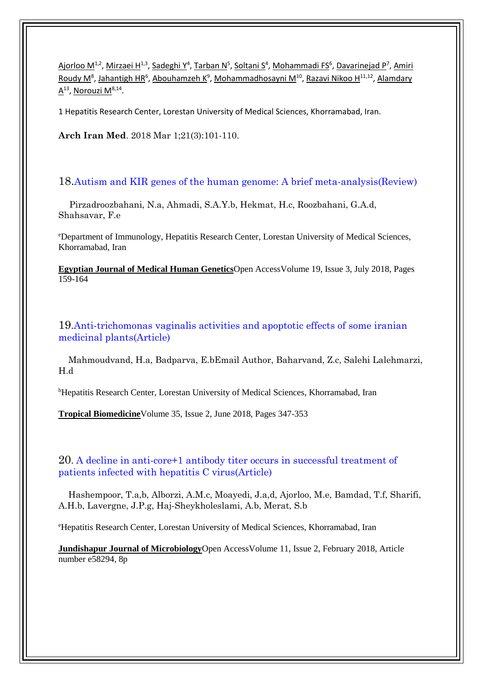[Ajorloo M](https://www.ncbi.nlm.nih.gov/pubmed/?term=Ajorloo%20M%5BAuthor%5D&cauthor=true&cauthor_uid=29688735)<sup>1,2</sup>[, Mirzaei H](https://www.ncbi.nlm.nih.gov/pubmed/?term=Mirzaei%20H%5BAuthor%5D&cauthor=true&cauthor_uid=29688735)<sup>1,3</sup>, [Sadeghi Y](https://www.ncbi.nlm.nih.gov/pubmed/?term=Sadeghi%20Y%5BAuthor%5D&cauthor=true&cauthor_uid=29688735)<sup>4</sup>, [Tarban N](https://www.ncbi.nlm.nih.gov/pubmed/?term=Tarban%20N%5BAuthor%5D&cauthor=true&cauthor_uid=29688735)<sup>5</sup>, [Soltani S](https://www.ncbi.nlm.nih.gov/pubmed/?term=Soltani%20S%5BAuthor%5D&cauthor=true&cauthor_uid=29688735)<sup>4</sup>, [Mohammadi FS](https://www.ncbi.nlm.nih.gov/pubmed/?term=Mohammadi%20FS%5BAuthor%5D&cauthor=true&cauthor_uid=29688735)<sup>6</sup>[, Davarinejad P](https://www.ncbi.nlm.nih.gov/pubmed/?term=Davarinejad%20P%5BAuthor%5D&cauthor=true&cauthor_uid=29688735)<sup>7</sup>, Amiri [Roudy M](https://www.ncbi.nlm.nih.gov/pubmed/?term=Amiri%20Roudy%20M%5BAuthor%5D&cauthor=true&cauthor_uid=29688735)<sup>8</sup>, [Jahantigh HR](https://www.ncbi.nlm.nih.gov/pubmed/?term=Jahantigh%20HR%5BAuthor%5D&cauthor=true&cauthor_uid=29688735)<sup>6</sup>, [Abouhamzeh K](https://www.ncbi.nlm.nih.gov/pubmed/?term=Abouhamzeh%20K%5BAuthor%5D&cauthor=true&cauthor_uid=29688735)<sup>9</sup>, [Mohammadhosayni M](https://www.ncbi.nlm.nih.gov/pubmed/?term=Mohammadhosayni%20M%5BAuthor%5D&cauthor=true&cauthor_uid=29688735)<sup>10</sup>[, Razavi Nikoo H](https://www.ncbi.nlm.nih.gov/pubmed/?term=Razavi%20Nikoo%20H%5BAuthor%5D&cauthor=true&cauthor_uid=29688735)<sup>11,12</sup>, Alamdary <u>[A](https://www.ncbi.nlm.nih.gov/pubmed/?term=Alamdary%20A%5BAuthor%5D&cauthor=true&cauthor_uid=29688735)</u><sup>13</sup>, <u>Norouzi M<sup>8,14</sup>.</u>

1 Hepatitis Research Center, Lorestan University of Medical Sciences, Khorramabad, Iran.

**Arch Iran Med**. 2018 Mar 1;21(3):101-110.

#### 18.Autism and KIR genes of the human genome: A brief meta-analysis(Review)

 Pirzadroozbahani, N.a, Ahmadi, S.A.Y.b, Hekmat, H.c, Roozbahani, G.A.d, Shahsavar, F.e

<sup>e</sup>Department of Immunology, Hepatitis Research Center, Lorestan University of Medical Sciences, Khorramabad, Iran

**[Egyptian Journal of Medical Human Genetics](https://www.scopus.com/sourceid/19700175117?origin=recordpage)**Open AccessVolume 19, Issue 3, July 2018, Pages 159-164

19.Anti-trichomonas vaginalis activities and apoptotic effects of some iranian medicinal plants(Article)

 Mahmoudvand, H.a, Badparva, E.bEmail Author, Baharvand, Z.c, Salehi Lalehmarzi, H.d

<sup>b</sup>Hepatitis Research Center, Lorestan University of Medical Sciences, Khorramabad, Iran

**[Tropical Biomedicine](https://www.scopus.com/sourceid/4700153108?origin=recordpage)**Volume 35, Issue 2, June 2018, Pages 347-353

20. A decline in anti-core+1 antibody titer occurs in successful treatment of patients infected with hepatitis C virus(Article)

 Hashempoor, T.a,b, Alborzi, A.M.c, Moayedi, J.a,d, Ajorloo, M.e, Bamdad, T.f, Sharifi, A.H.b, Lavergne, J.P.g, Haj-Sheykholeslami, A.b, Merat, S.b

<sup>e</sup>Hepatitis Research Center, Lorestan University of Medical Sciences, Khorramabad, Iran

**[Jundishapur Journal of Microbiology](https://www.scopus.com/sourceid/19700175150?origin=recordpage)**Open AccessVolume 11, Issue 2, February 2018, Article number e58294, 8p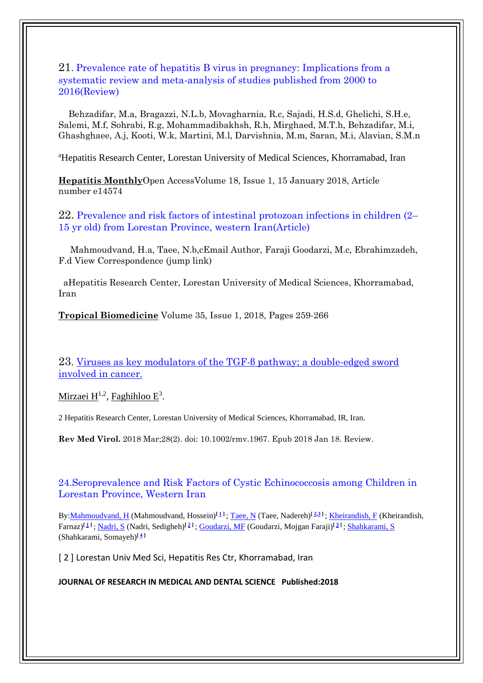#### 21. Prevalence rate of hepatitis B virus in pregnancy: Implications from a systematic review and meta-analysis of studies published from 2000 to 2016(Review)

 Behzadifar, M.a, Bragazzi, N.L.b, Movagharnia, R.c, Sajadi, H.S.d, Ghelichi, S.H.e, Salemi, M.f, Sohrabi, R.g, Mohammadibakhsh, R.h, Mirghaed, M.T.h, Behzadifar, M.i, Ghashghaee, A.j, Kooti, W.k, Martini, M.l, Darvishnia, M.m, Saran, M.i, Alavian, S.M.n

<sup>a</sup>Hepatitis Research Center, Lorestan University of Medical Sciences, Khorramabad, Iran

**[Hepatitis Monthly](https://www.scopus.com/sourceid/11700154615?origin=recordpage)**Open AccessVolume 18, Issue 1, 15 January 2018, Article number e14574

22. Prevalence and risk factors of intestinal protozoan infections in children (2– 15 yr old) from Lorestan Province, western Iran(Article)

 Mahmoudvand, H.a, Taee, N.b,cEmail Author, Faraji Goodarzi, M.c, Ebrahimzadeh, F.d View Correspondence (jump link)

 aHepatitis Research Center, Lorestan University of Medical Sciences, Khorramabad, Iran

**[Tropical Biomedicine](https://www.scopus.com/sourceid/4700153108?origin=recordpage)** Volume 35, Issue 1, 2018, Pages 259-266

23. [Viruses as key modulators of the TGF-](https://www.ncbi.nlm.nih.gov/pubmed/29345394) $\beta$  pathway; a double-edged sword [involved in cancer.](https://www.ncbi.nlm.nih.gov/pubmed/29345394)

<u>[Mirzaei H](https://www.ncbi.nlm.nih.gov/pubmed/?term=Mirzaei%20H%5BAuthor%5D&cauthor=true&cauthor_uid=29345394)<sup>1,2</sup>, [Faghihloo E](https://www.ncbi.nlm.nih.gov/pubmed/?term=Faghihloo%20E%5BAuthor%5D&cauthor=true&cauthor_uid=29345394)</u><sup>3</sup>.

2 Hepatitis Research Center, Lorestan University of Medical Sciences, Khorramabad, IR, Iran.

**Rev Med Virol.** 2018 Mar;28(2). doi: 10.1002/rmv.1967. Epub 2018 Jan 18. Review.

24.Seroprevalence and Risk Factors of Cystic Echinococcosis among Children in Lorestan Province, Western Iran

By: Mahmoudvand, H (Mahmoudvand, Hossein)<sup>[1]</sup>; Taee, N (Taee, Nadereh)<sup>[2,3</sup><sup>]</sup>[; Kheirandish, F](http://apps.webofknowledge.com/DaisyOneClickSearch.do?product=WOS&search_mode=DaisyOneClickSearch&colName=WOS&SID=F2Mwo6lu8ShzzqcWotm&author_name=Kheirandish,%20F&dais_id=1100080&excludeEventConfig=ExcludeIfFromFullRecPage) (Kheirandish, Farnaz)<sup>[1]</sup>; Nadri, S (Nadri, Sedigheh)<sup>[2]</sup>; Goudarzi, MF (Goudarzi, Mojgan Faraji)<sup>[3]</sup>; [Shahkarami, S](http://apps.webofknowledge.com/DaisyOneClickSearch.do?product=WOS&search_mode=DaisyOneClickSearch&colName=WOS&SID=F2Mwo6lu8ShzzqcWotm&author_name=Shahkarami,%20S&dais_id=29197312&excludeEventConfig=ExcludeIfFromFullRecPage) **[\[ 4](javascript:sup_focus() ]** (Shahkarami, Somayeh)

[ 2 ] Lorestan Univ Med Sci, Hepatitis Res Ctr, Khorramabad, Iran

#### **JOURNAL OF RESEARCH IN MEDICAL AND DENTAL SCIENCE Published:2018**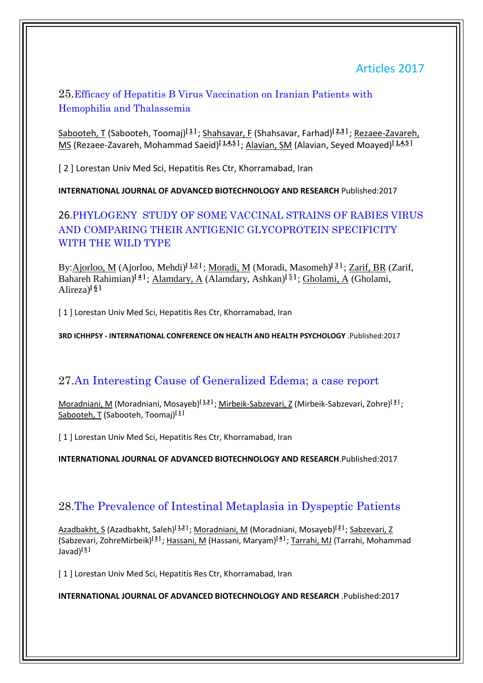# Articles 2017

### 25.Efficacy of Hepatitis B Virus Vaccination on Iranian Patients with Hemophilia and Thalassemia

[Sabooteh, T](http://apps.webofknowledge.com/OneClickSearch.do?product=WOS&search_mode=OneClickSearch&excludeEventConfig=ExcludeIfFromFullRecPage&colName=WOS&SID=F6pQ2LZ9tjBhTmzgAkR&field=AU&value=Sabooteh,%20T) (Sabooteh, Toomaj)**[\[ 1](javascript:sup_focus() ]** [; Shahsavar, F](http://apps.webofknowledge.com/OneClickSearch.do?product=WOS&search_mode=OneClickSearch&excludeEventConfig=ExcludeIfFromFullRecPage&colName=WOS&SID=F6pQ2LZ9tjBhTmzgAkR&field=AU&value=Shahsavar,%20F) (Shahsavar, Farhad)**[\[ 2](javascript:sup_focus()[,3](javascript:sup_focus() ]** ; [Rezaee-Zavareh,](http://apps.webofknowledge.com/OneClickSearch.do?product=WOS&search_mode=OneClickSearch&excludeEventConfig=ExcludeIfFromFullRecPage&colName=WOS&SID=F6pQ2LZ9tjBhTmzgAkR&field=AU&value=Rezaee-Zavareh,%20MS)  [MS](http://apps.webofknowledge.com/OneClickSearch.do?product=WOS&search_mode=OneClickSearch&excludeEventConfig=ExcludeIfFromFullRecPage&colName=WOS&SID=F6pQ2LZ9tjBhTmzgAkR&field=AU&value=Rezaee-Zavareh,%20MS) (Rezaee-Zavareh, Mohammad Saeid)**[\[ 1,](javascript:sup_focus()[4,](javascript:sup_focus()[5](javascript:sup_focus() ]** ; [Alavian, SM](http://apps.webofknowledge.com/OneClickSearch.do?product=WOS&search_mode=OneClickSearch&excludeEventConfig=ExcludeIfFromFullRecPage&colName=WOS&SID=F6pQ2LZ9tjBhTmzgAkR&field=AU&value=Alavian,%20SM) (Alavian, Seyed Moayed)**[\[ 1](javascript:sup_focus()[,4](javascript:sup_focus()[,5](javascript:sup_focus() ]** 

[ 2 ] Lorestan Univ Med Sci, Hepatitis Res Ctr, Khorramabad, Iran

**INTERNATIONAL JOURNAL OF ADVANCED BIOTECHNOLOGY AND RESEARCH** Published:2017

# 26.PHYLOGENY STUDY OF SOME VACCINAL STRAINS OF RABIES VIRUS AND COMPARING THEIR ANTIGENIC GLYCOPROTEIN SPECIFICITY WITH THE WILD TYPE

By[:Ajorloo, M](http://apps.webofknowledge.com/DaisyOneClickSearch.do?product=WOS&search_mode=DaisyOneClickSearch&colName=WOS&SID=F6pQ2LZ9tjBhTmzgAkR&author_name=Ajorloo,%20M&dais_id=4745815&excludeEventConfig=ExcludeIfFromFullRecPage) (Ajorloo, Mehdi)**[\[ 1,](javascript:sup_focus()[2](javascript:sup_focus() ]** ; [Moradi, M](http://apps.webofknowledge.com/DaisyOneClickSearch.do?product=WOS&search_mode=DaisyOneClickSearch&colName=WOS&SID=F6pQ2LZ9tjBhTmzgAkR&author_name=Moradi,%20M&dais_id=13260620&excludeEventConfig=ExcludeIfFromFullRecPage) (Moradi, Masomeh)**[ [3](javascript:sup_focus() ]** ; [Zarif, BR](http://apps.webofknowledge.com/DaisyOneClickSearch.do?product=WOS&search_mode=DaisyOneClickSearch&colName=WOS&SID=F6pQ2LZ9tjBhTmzgAkR&author_name=Zarif,%20BR&dais_id=6494542&excludeEventConfig=ExcludeIfFromFullRecPage) (Zarif, Bahareh Rahimian)**[\[ 4](javascript:sup_focus() ]** ; [Alamdary, A](http://apps.webofknowledge.com/DaisyOneClickSearch.do?product=WOS&search_mode=DaisyOneClickSearch&colName=WOS&SID=F6pQ2LZ9tjBhTmzgAkR&author_name=Alamdary,%20A&dais_id=11273714&excludeEventConfig=ExcludeIfFromFullRecPage) (Alamdary, Ashkan)**[\[ 5](javascript:sup_focus() ]** ; [Gholami, A](http://apps.webofknowledge.com/DaisyOneClickSearch.do?product=WOS&search_mode=DaisyOneClickSearch&colName=WOS&SID=F6pQ2LZ9tjBhTmzgAkR&author_name=Gholami,%20A&dais_id=2939959&excludeEventConfig=ExcludeIfFromFullRecPage) (Gholami, Alireza<sup> $[\,\,\underline{6}$ ]</sup>

[ 1 ] Lorestan Univ Med Sci, Hepatitis Res Ctr, Khorramabad, Iran

**3RD ICHHPSY - INTERNATIONAL CONFERENCE ON HEALTH AND HEALTH PSYCHOLOGY** .Published:2017

# 27.An Interesting Cause of Generalized Edema; a case report

[Moradniani, M](http://apps.webofknowledge.com/DaisyOneClickSearch.do?product=WOS&search_mode=DaisyOneClickSearch&colName=WOS&SID=F6pQ2LZ9tjBhTmzgAkR&author_name=Moradniani,%20M&dais_id=5204256&excludeEventConfig=ExcludeIfFromFullRecPage) (Moradniani, Mosayeb)**[\[ 1,](javascript:sup_focus()[2](javascript:sup_focus() ]** [; Mirbeik-Sabzevari, Z](http://apps.webofknowledge.com/DaisyOneClickSearch.do?product=WOS&search_mode=DaisyOneClickSearch&colName=WOS&SID=F6pQ2LZ9tjBhTmzgAkR&author_name=Mirbeik-Sabzevari,%20Z&dais_id=7786528&excludeEventConfig=ExcludeIfFromFullRecPage&cacheurlFromRightClick=no) (Mirbeik-Sabzevari, Zohre)**[\[ 3](javascript:sup_focus() ]** ; [Sabooteh, T](http://apps.webofknowledge.com/DaisyOneClickSearch.do?product=WOS&search_mode=DaisyOneClickSearch&colName=WOS&SID=F6pQ2LZ9tjBhTmzgAkR&author_name=Sabooteh,%20T&dais_id=7562075&excludeEventConfig=ExcludeIfFromFullRecPage) (Sabooteh, Toomaj)**[\[ 1](javascript:sup_focus() ]**

[1] Lorestan Univ Med Sci, Hepatitis Res Ctr, Khorramabad, Iran

**INTERNATIONAL JOURNAL OF ADVANCED BIOTECHNOLOGY AND RESEARCH**.Published:2017

# 28.The Prevalence of Intestinal Metaplasia in Dyspeptic Patients

[Azadbakht, S](http://apps.webofknowledge.com/DaisyOneClickSearch.do?product=WOS&search_mode=DaisyOneClickSearch&colName=WOS&SID=F6pQ2LZ9tjBhTmzgAkR&author_name=Azadbakht,%20S&dais_id=6961114&excludeEventConfig=ExcludeIfFromFullRecPage) (Azadbakht, Saleh)**[\[ 1,](javascript:sup_focus()[2](javascript:sup_focus() ]** ; [Moradniani, M](http://apps.webofknowledge.com/DaisyOneClickSearch.do?product=WOS&search_mode=DaisyOneClickSearch&colName=WOS&SID=F6pQ2LZ9tjBhTmzgAkR&author_name=Moradniani,%20M&dais_id=5204256&excludeEventConfig=ExcludeIfFromFullRecPage) (Moradniani, Mosayeb)**[\[ 2](javascript:sup_focus() ]** ; [Sabzevari, Z](http://apps.webofknowledge.com/DaisyOneClickSearch.do?product=WOS&search_mode=DaisyOneClickSearch&colName=WOS&SID=F6pQ2LZ9tjBhTmzgAkR&author_name=Sabzevari,%20Z&dais_id=10047135&excludeEventConfig=ExcludeIfFromFullRecPage) (Sabzevari, ZohreMirbeik)**[\[ 3](javascript:sup_focus() ]** ; [Hassani, M](http://apps.webofknowledge.com/DaisyOneClickSearch.do?product=WOS&search_mode=DaisyOneClickSearch&colName=WOS&SID=F6pQ2LZ9tjBhTmzgAkR&author_name=Hassani,%20M&dais_id=5509979&excludeEventConfig=ExcludeIfFromFullRecPage) (Hassani, Maryam)**[\[ 4](javascript:sup_focus() ]** [; Tarrahi, MJ](http://apps.webofknowledge.com/DaisyOneClickSearch.do?product=WOS&search_mode=DaisyOneClickSearch&colName=WOS&SID=F6pQ2LZ9tjBhTmzgAkR&author_name=Tarrahi,%20MJ&dais_id=1891868&excludeEventConfig=ExcludeIfFromFullRecPage) (Tarrahi, Mohammad Javad)**[\[ 5](javascript:sup_focus() ]**

[1] Lorestan Univ Med Sci, Hepatitis Res Ctr, Khorramabad, Iran

**INTERNATIONAL JOURNAL OF ADVANCED BIOTECHNOLOGY AND RESEARCH** .Published:2017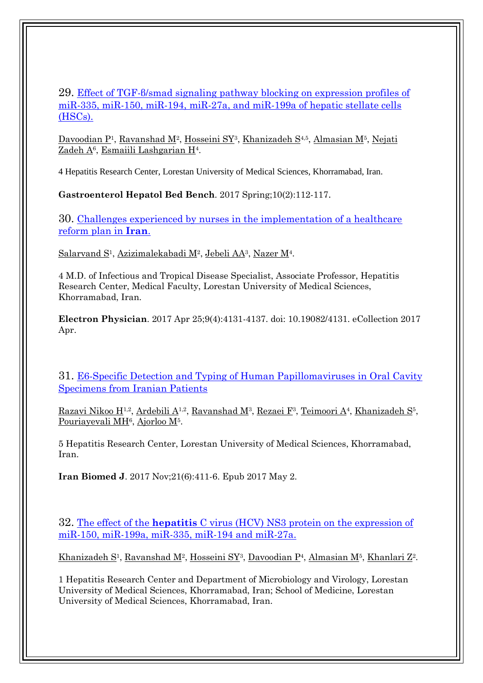### 29. Effect of TGF-β/smad [signaling pathway blocking on expression profiles](https://www.ncbi.nlm.nih.gov/pubmed/28702135) of [miR-335, miR-150, miR-194, miR-27a, and miR-199a of hepatic stellate cells](https://www.ncbi.nlm.nih.gov/pubmed/28702135)  [\(HSCs\).](https://www.ncbi.nlm.nih.gov/pubmed/28702135)

[Davoodian P](https://www.ncbi.nlm.nih.gov/pubmed/?term=Davoodian%20P%5BAuthor%5D&cauthor=true&cauthor_uid=28702135)<sup>1</sup>, [Ravanshad M](https://www.ncbi.nlm.nih.gov/pubmed/?term=Ravanshad%20M%5BAuthor%5D&cauthor=true&cauthor_uid=28702135)<sup>2</sup>, [Hosseini SY](https://www.ncbi.nlm.nih.gov/pubmed/?term=Hosseini%20SY%5BAuthor%5D&cauthor=true&cauthor_uid=28702135)<sup>3</sup>, [Khanizadeh S](https://www.ncbi.nlm.nih.gov/pubmed/?term=Khanizadeh%20S%5BAuthor%5D&cauthor=true&cauthor_uid=28702135)<sup>4,5</sup>, [Almasian M](https://www.ncbi.nlm.nih.gov/pubmed/?term=Almasian%20M%5BAuthor%5D&cauthor=true&cauthor_uid=28702135)<sup>5</sup>, Nejati <u>[Zadeh A](https://www.ncbi.nlm.nih.gov/pubmed/?term=Nejati%20Zadeh%20A%5BAuthor%5D&cauthor=true&cauthor_uid=28702135)6, [Esmaiili Lashgarian H](https://www.ncbi.nlm.nih.gov/pubmed/?term=Esmaiili%20Lashgarian%20H%5BAuthor%5D&cauthor=true&cauthor_uid=28702135)4</u>.

4 Hepatitis Research Center, Lorestan University of Medical Sciences, Khorramabad, Iran.

**Gastroenterol Hepatol Bed Bench**. 2017 Spring;10(2):112-117.

30. Challenges experienced by nurses in the implementation of a healthcare [reform plan in](https://www.ncbi.nlm.nih.gov/pubmed/28607646) **Iran**.

[Salarvand S](https://www.ncbi.nlm.nih.gov/pubmed/?term=Salarvand%20S%5BAuthor%5D&cauthor=true&cauthor_uid=28607646)<sup>1</sup>, [Azizimalekabadi M](https://www.ncbi.nlm.nih.gov/pubmed/?term=Azizimalekabadi%20M%5BAuthor%5D&cauthor=true&cauthor_uid=28607646)<sup>2</sup>, [Jebeli AA](https://www.ncbi.nlm.nih.gov/pubmed/?term=Jebeli%20AA%5BAuthor%5D&cauthor=true&cauthor_uid=28607646)<sup>3</sup>, [Nazer M](https://www.ncbi.nlm.nih.gov/pubmed/?term=Nazer%20M%5BAuthor%5D&cauthor=true&cauthor_uid=28607646)<sup>4</sup>.

4 M.D. of Infectious and Tropical Disease Specialist, Associate Professor, Hepatitis Research Center, Medical Faculty, Lorestan University of Medical Sciences, Khorramabad, Iran.

**Electron Physician**. 2017 Apr 25;9(4):4131-4137. doi: 10.19082/4131. eCollection 2017 Apr.

31. [E6-Specific Detection and Typing of Human Papillomaviruses in Oral Cavity](https://www.ncbi.nlm.nih.gov/pubmed/28460428)  [Specimens from Iranian Patients](https://www.ncbi.nlm.nih.gov/pubmed/28460428)

[Razavi Nikoo H](https://www.ncbi.nlm.nih.gov/pubmed/?term=Razavi%20Nikoo%20H%5BAuthor%5D&cauthor=true&cauthor_uid=28460428)<sup>1,2</sup>, [Ardebili A](https://www.ncbi.nlm.nih.gov/pubmed/?term=Ardebili%20A%5BAuthor%5D&cauthor=true&cauthor_uid=28460428)<sup>1,2</sup>, [Ravanshad M](https://www.ncbi.nlm.nih.gov/pubmed/?term=Ravanshad%20M%5BAuthor%5D&cauthor=true&cauthor_uid=28460428)<sup>3</sup>, [Rezaei F](https://www.ncbi.nlm.nih.gov/pubmed/?term=Rezaei%20F%5BAuthor%5D&cauthor=true&cauthor_uid=28460428)<sup>3</sup>, [Teimoori A](https://www.ncbi.nlm.nih.gov/pubmed/?term=Teimoori%20A%5BAuthor%5D&cauthor=true&cauthor_uid=28460428)<sup>4</sup>, [Khanizadeh S](https://www.ncbi.nlm.nih.gov/pubmed/?term=Khanizadeh%20S%5BAuthor%5D&cauthor=true&cauthor_uid=28460428)<sup>5</sup>, [Pouriayevali MH](https://www.ncbi.nlm.nih.gov/pubmed/?term=Pouriayevali%20MH%5BAuthor%5D&cauthor=true&cauthor_uid=28460428)<sup>6</sup>, [Ajorloo M](https://www.ncbi.nlm.nih.gov/pubmed/?term=Ajorloo%20M%5BAuthor%5D&cauthor=true&cauthor_uid=28460428)<sup>5</sup>.

5 Hepatitis Research Center, Lorestan University of Medical Sciences, Khorramabad, Iran.

**Iran Biomed J**. 2017 Nov;21(6):411-6. Epub 2017 May 2.

32. The effect of the **hepatitis** [C virus \(HCV\) NS3 protein on the expression of](https://www.ncbi.nlm.nih.gov/pubmed/28286290)  [miR-150, miR-199a, miR-335, miR-194 and miR-27a.](https://www.ncbi.nlm.nih.gov/pubmed/28286290)

[Khanizadeh S](https://www.ncbi.nlm.nih.gov/pubmed/?term=Khanizadeh%20S%5BAuthor%5D&cauthor=true&cauthor_uid=28286290)<sup>1</sup>, [Ravanshad M](https://www.ncbi.nlm.nih.gov/pubmed/?term=Ravanshad%20M%5BAuthor%5D&cauthor=true&cauthor_uid=28286290)<sup>2</sup>, [Hosseini SY](https://www.ncbi.nlm.nih.gov/pubmed/?term=Hosseini%20SY%5BAuthor%5D&cauthor=true&cauthor_uid=28286290)<sup>3</sup>, [Davoodian P](https://www.ncbi.nlm.nih.gov/pubmed/?term=Davoodian%20P%5BAuthor%5D&cauthor=true&cauthor_uid=28286290)<sup>4</sup>, [Almasian M](https://www.ncbi.nlm.nih.gov/pubmed/?term=Almasian%20M%5BAuthor%5D&cauthor=true&cauthor_uid=28286290)<sup>5</sup>, [Khanlari Z](https://www.ncbi.nlm.nih.gov/pubmed/?term=Khanlari%20Z%5BAuthor%5D&cauthor=true&cauthor_uid=28286290)<sup>2</sup>.

1 Hepatitis Research Center and Department of Microbiology and Virology, Lorestan University of Medical Sciences, Khorramabad, Iran; School of Medicine, Lorestan University of Medical Sciences, Khorramabad, Iran.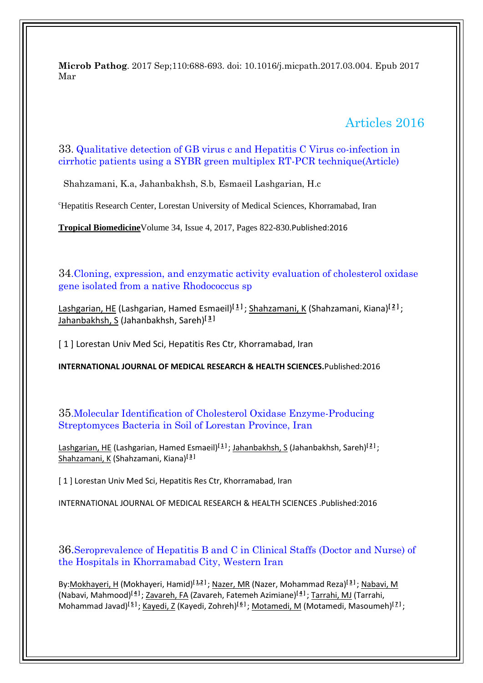**Microb Pathog**. 2017 Sep;110:688-693. doi: 10.1016/j.micpath.2017.03.004. Epub 2017 Mar

# Articles 2016

#### 33. Qualitative detection of GB virus c and Hepatitis C Virus co-infection in cirrhotic patients using a SYBR green multiplex RT-PCR technique(Article)

Shahzamani, K.a, Jahanbakhsh, S.b, Esmaeil Lashgarian, H.c

<sup>c</sup>Hepatitis Research Center, Lorestan University of Medical Sciences, Khorramabad, Iran

**[Tropical Biomedicine](https://www.scopus.com/sourceid/4700153108?origin=recordpage)**Volume 34, Issue 4, 2017, Pages 822-830.Published:2016

34.Cloning, expression, and enzymatic activity evaluation of cholesterol oxidase gene isolated from a native Rhodococcus sp

[Lashgarian, HE](http://apps.webofknowledge.com/DaisyOneClickSearch.do?product=WOS&search_mode=DaisyOneClickSearch&colName=WOS&SID=F6pQ2LZ9tjBhTmzgAkR&author_name=Lashgarian,%20HE&dais_id=7933003&excludeEventConfig=ExcludeIfFromFullRecPage) (Lashgarian, Hamed Esmaeil)**[\[ 1](javascript:sup_focus() ]** ; [Shahzamani, K](http://apps.webofknowledge.com/DaisyOneClickSearch.do?product=WOS&search_mode=DaisyOneClickSearch&colName=WOS&SID=F6pQ2LZ9tjBhTmzgAkR&author_name=Shahzamani,%20K&dais_id=3675427&excludeEventConfig=ExcludeIfFromFullRecPage) (Shahzamani, Kiana)**[\[ 2](javascript:sup_focus() ]** ; [Jahanbakhsh, S](http://apps.webofknowledge.com/DaisyOneClickSearch.do?product=WOS&search_mode=DaisyOneClickSearch&colName=WOS&SID=F6pQ2LZ9tjBhTmzgAkR&author_name=Jahanbakhsh,%20S&dais_id=1995881&excludeEventConfig=ExcludeIfFromFullRecPage) (Jahanbakhsh, Sareh)**[\[ 3](javascript:sup_focus() ]** 

[ 1 ] Lorestan Univ Med Sci, Hepatitis Res Ctr, Khorramabad, Iran

**INTERNATIONAL JOURNAL OF MEDICAL RESEARCH & HEALTH SCIENCES.**Published:2016

35.Molecular Identification of Cholesterol Oxidase Enzyme-Producing Streptomyces Bacteria in Soil of Lorestan Province, Iran

[Lashgarian, HE](http://apps.webofknowledge.com/DaisyOneClickSearch.do?product=WOS&search_mode=DaisyOneClickSearch&colName=WOS&SID=F6pQ2LZ9tjBhTmzgAkR&author_name=Lashgarian,%20HE&dais_id=7933003&excludeEventConfig=ExcludeIfFromFullRecPage) (Lashgarian, Hamed Esmaeil)**[\[ 1](javascript:sup_focus() ]** [; Jahanbakhsh, S](http://apps.webofknowledge.com/DaisyOneClickSearch.do?product=WOS&search_mode=DaisyOneClickSearch&colName=WOS&SID=F6pQ2LZ9tjBhTmzgAkR&author_name=Jahanbakhsh,%20S&dais_id=1995881&excludeEventConfig=ExcludeIfFromFullRecPage) (Jahanbakhsh, Sareh)**[\[ 2](javascript:sup_focus() ]** ; [Shahzamani, K](http://apps.webofknowledge.com/DaisyOneClickSearch.do?product=WOS&search_mode=DaisyOneClickSearch&colName=WOS&SID=F6pQ2LZ9tjBhTmzgAkR&author_name=Shahzamani,%20K&dais_id=3675427&excludeEventConfig=ExcludeIfFromFullRecPage) (Shahzamani, Kiana)**[\[ 3](javascript:sup_focus() ]** 

[1] Lorestan Univ Med Sci, Hepatitis Res Ctr, Khorramabad, Iran

INTERNATIONAL JOURNAL OF MEDICAL RESEARCH & HEALTH SCIENCES .Published:2016

36.Seroprevalence of Hepatitis B and C in Clinical Staffs (Doctor and Nurse) of the Hospitals in Khorramabad City, Western Iran

By[:Mokhayeri, H](http://apps.webofknowledge.com/DaisyOneClickSearch.do?product=WOS&search_mode=DaisyOneClickSearch&colName=WOS&SID=F6pQ2LZ9tjBhTmzgAkR&author_name=Mokhayeri,%20H&dais_id=8813389&excludeEventConfig=ExcludeIfFromFullRecPage) (Mokhayeri, Hamid)**[\[ 1](javascript:sup_focus()[,2](javascript:sup_focus() ]** ; [Nazer, MR](http://apps.webofknowledge.com/DaisyOneClickSearch.do?product=WOS&search_mode=DaisyOneClickSearch&colName=WOS&SID=F6pQ2LZ9tjBhTmzgAkR&author_name=Nazer,%20MR&dais_id=4693875&excludeEventConfig=ExcludeIfFromFullRecPage) (Nazer, Mohammad Reza)**[\[ 3](javascript:sup_focus() ]** ; [Nabavi, M](http://apps.webofknowledge.com/DaisyOneClickSearch.do?product=WOS&search_mode=DaisyOneClickSearch&colName=WOS&SID=F6pQ2LZ9tjBhTmzgAkR&author_name=Nabavi,%20M&dais_id=2992772&excludeEventConfig=ExcludeIfFromFullRecPage) (Nabavi, Mahmood)**[\[ 4](javascript:sup_focus() ]** [; Zavareh, FA](http://apps.webofknowledge.com/DaisyOneClickSearch.do?product=WOS&search_mode=DaisyOneClickSearch&colName=WOS&SID=F6pQ2LZ9tjBhTmzgAkR&author_name=Zavareh,%20FA&dais_id=26487097&excludeEventConfig=ExcludeIfFromFullRecPage) (Zavareh, Fatemeh Azimiane)**[\[ 4](javascript:sup_focus() ]** [; Tarrahi, MJ](http://apps.webofknowledge.com/DaisyOneClickSearch.do?product=WOS&search_mode=DaisyOneClickSearch&colName=WOS&SID=F6pQ2LZ9tjBhTmzgAkR&author_name=Tarrahi,%20MJ&dais_id=1891868&excludeEventConfig=ExcludeIfFromFullRecPage) (Tarrahi, Mohammad Javad)**[\[ 5](javascript:sup_focus() ]** ; [Kayedi, Z](http://apps.webofknowledge.com/DaisyOneClickSearch.do?product=WOS&search_mode=DaisyOneClickSearch&colName=WOS&SID=F6pQ2LZ9tjBhTmzgAkR&author_name=Kayedi,%20Z&dais_id=12191338&excludeEventConfig=ExcludeIfFromFullRecPage) (Kayedi, Zohreh)**[\[ 6](javascript:sup_focus() ]** ; [Motamedi, M](http://apps.webofknowledge.com/DaisyOneClickSearch.do?product=WOS&search_mode=DaisyOneClickSearch&colName=WOS&SID=F6pQ2LZ9tjBhTmzgAkR&author_name=Motamedi,%20M&dais_id=8014669&excludeEventConfig=ExcludeIfFromFullRecPage) (Motamedi, Masoumeh)**[\[ 7](javascript:sup_focus() ]** ;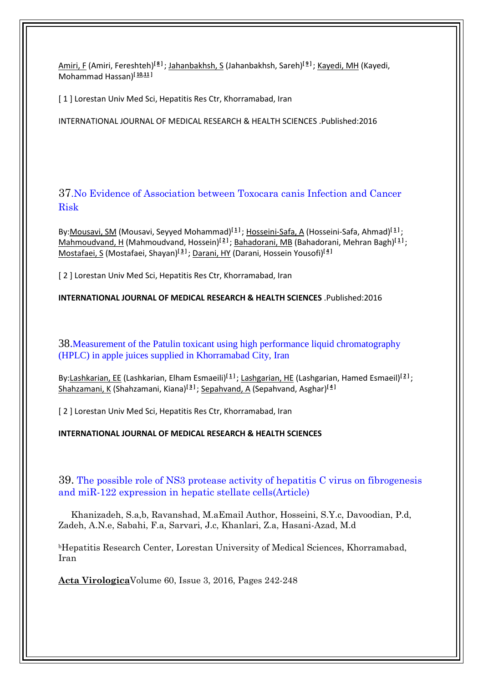[Amiri, F](http://apps.webofknowledge.com/DaisyOneClickSearch.do?product=WOS&search_mode=DaisyOneClickSearch&colName=WOS&SID=F6pQ2LZ9tjBhTmzgAkR&author_name=Amiri,%20F&dais_id=11331857&excludeEventConfig=ExcludeIfFromFullRecPage) (Amiri, Fereshteh)**[\[ 8](javascript:sup_focus() ]** ; [Jahanbakhsh, S](http://apps.webofknowledge.com/DaisyOneClickSearch.do?product=WOS&search_mode=DaisyOneClickSearch&colName=WOS&SID=F6pQ2LZ9tjBhTmzgAkR&author_name=Jahanbakhsh,%20S&dais_id=1995881&excludeEventConfig=ExcludeIfFromFullRecPage) (Jahanbakhsh, Sareh)**[\[ 9](javascript:sup_focus() ]** ; [Kayedi, MH](http://apps.webofknowledge.com/DaisyOneClickSearch.do?product=WOS&search_mode=DaisyOneClickSearch&colName=WOS&SID=F6pQ2LZ9tjBhTmzgAkR&author_name=Kayedi,%20MH&dais_id=2234260&excludeEventConfig=ExcludeIfFromFullRecPage) (Kayedi, Mohammad Hassan)**[\[ 10,](javascript:sup_focus()[11](javascript:sup_focus() ]** 

[1] Lorestan Univ Med Sci, Hepatitis Res Ctr, Khorramabad, Iran

INTERNATIONAL JOURNAL OF MEDICAL RESEARCH & HEALTH SCIENCES .Published:2016

37.No Evidence of Association between Toxocara canis Infection and Cancer Risk

By[:Mousavi, SM](http://apps.webofknowledge.com/DaisyOneClickSearch.do?product=WOS&search_mode=DaisyOneClickSearch&colName=WOS&SID=F6pQ2LZ9tjBhTmzgAkR&author_name=Mousavi,%20SM&dais_id=366243&excludeEventConfig=ExcludeIfFromFullRecPage) (Mousavi, Seyyed Mohammad)**[\[ 1](javascript:sup_focus() ]** ; [Hosseini-Safa, A](http://apps.webofknowledge.com/DaisyOneClickSearch.do?product=WOS&search_mode=DaisyOneClickSearch&colName=WOS&SID=F6pQ2LZ9tjBhTmzgAkR&author_name=Hosseini-Safa,%20A&dais_id=9943805&excludeEventConfig=ExcludeIfFromFullRecPage) (Hosseini-Safa, Ahmad)**[\[ 1](javascript:sup_focus() ]** ; [Mahmoudvand, H](http://apps.webofknowledge.com/DaisyOneClickSearch.do?product=WOS&search_mode=DaisyOneClickSearch&colName=WOS&SID=F6pQ2LZ9tjBhTmzgAkR&author_name=Mahmoudvand,%20H&dais_id=800373&excludeEventConfig=ExcludeIfFromFullRecPage) (Mahmoudvand, Hossein)<sup>[2]</sup>[; Bahadorani, MB](http://apps.webofknowledge.com/DaisyOneClickSearch.do?product=WOS&search_mode=DaisyOneClickSearch&colName=WOS&SID=F6pQ2LZ9tjBhTmzgAkR&author_name=Bahadorani,%20MB&dais_id=18710409&excludeEventConfig=ExcludeIfFromFullRecPage) (Bahadorani, Mehran Bagh)<sup>[1]</sup>; [Mostafaei, S](http://apps.webofknowledge.com/DaisyOneClickSearch.do?product=WOS&search_mode=DaisyOneClickSearch&colName=WOS&SID=F6pQ2LZ9tjBhTmzgAkR&author_name=Mostafaei,%20S&dais_id=1503741&excludeEventConfig=ExcludeIfFromFullRecPage) (Mostafaei, Shayan)**[\[ 3](javascript:sup_focus() ]** ; [Darani, HY](http://apps.webofknowledge.com/DaisyOneClickSearch.do?product=WOS&search_mode=DaisyOneClickSearch&colName=WOS&SID=F6pQ2LZ9tjBhTmzgAkR&author_name=Darani,%20HY&dais_id=2398275&excludeEventConfig=ExcludeIfFromFullRecPage) (Darani, Hossein Yousofi)**[\[ 4](javascript:sup_focus() ]** 

[ 2 ] Lorestan Univ Med Sci, Hepatitis Res Ctr, Khorramabad, Iran

**INTERNATIONAL JOURNAL OF MEDICAL RESEARCH & HEALTH SCIENCES** .Published:2016

38.Measurement of the Patulin toxicant using high performance liquid chromatography (HPLC) in apple juices supplied in Khorramabad City, Iran

By[:Lashkarian, EE](http://apps.webofknowledge.com/DaisyOneClickSearch.do?product=WOS&search_mode=DaisyOneClickSearch&colName=WOS&SID=F6pQ2LZ9tjBhTmzgAkR&author_name=Lashkarian,%20EE&dais_id=24615730&excludeEventConfig=ExcludeIfFromFullRecPage) (Lashkarian, Elham Esmaeili)**[\[ 1](javascript:sup_focus() ]** ; [Lashgarian, HE](http://apps.webofknowledge.com/DaisyOneClickSearch.do?product=WOS&search_mode=DaisyOneClickSearch&colName=WOS&SID=F6pQ2LZ9tjBhTmzgAkR&author_name=Lashgarian,%20HE&dais_id=7933003&excludeEventConfig=ExcludeIfFromFullRecPage) (Lashgarian, Hamed Esmaeil)**[\[ 2](javascript:sup_focus() ]** ; [Shahzamani, K](http://apps.webofknowledge.com/DaisyOneClickSearch.do?product=WOS&search_mode=DaisyOneClickSearch&colName=WOS&SID=F6pQ2LZ9tjBhTmzgAkR&author_name=Shahzamani,%20K&dais_id=3675427&excludeEventConfig=ExcludeIfFromFullRecPage) (Shahzamani, Kiana)**[\[ 3](javascript:sup_focus() ]** ; [Sepahvand, A](http://apps.webofknowledge.com/DaisyOneClickSearch.do?product=WOS&search_mode=DaisyOneClickSearch&colName=WOS&SID=F6pQ2LZ9tjBhTmzgAkR&author_name=Sepahvand,%20A&dais_id=3139731&excludeEventConfig=ExcludeIfFromFullRecPage) (Sepahvand, Asghar)**[\[ 4](javascript:sup_focus() ]** 

[ 2 ] Lorestan Univ Med Sci, Hepatitis Res Ctr, Khorramabad, Iran

**INTERNATIONAL JOURNAL OF MEDICAL RESEARCH & HEALTH SCIENCES**

39. The possible role of NS3 protease activity of hepatitis C virus on fibrogenesis and miR-122 expression in hepatic stellate cells(Article)

 Khanizadeh, S.a,b, Ravanshad, M.aEmail Author, Hosseini, S.Y.c, Davoodian, P.d, Zadeh, A.N.e, Sabahi, F.a, Sarvari, J.c, Khanlari, Z.a, Hasani-Azad, M.d

<sup>b</sup>Hepatitis Research Center, Lorestan University of Medical Sciences, Khorramabad, Iran

**[Acta Virologica](https://www.scopus.com/sourceid/19094?origin=recordpage)**Volume 60, Issue 3, 2016, Pages 242-248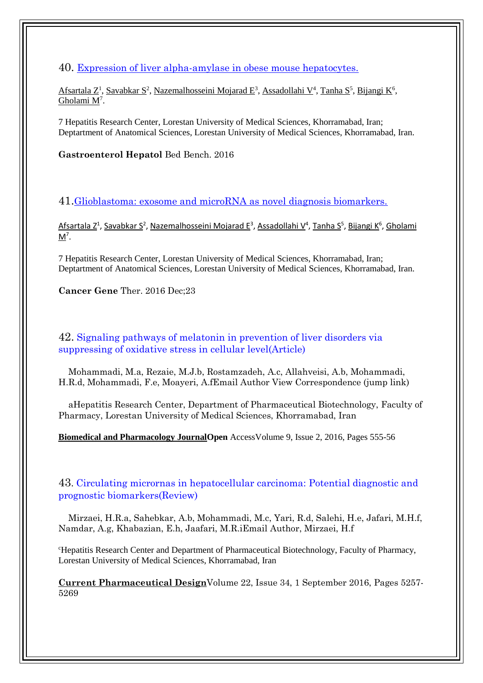40. [Expression of liver alpha-amylase in obese mouse hepatocytes.](https://www.ncbi.nlm.nih.gov/pubmed/27895853)

[Afsartala Z](https://www.ncbi.nlm.nih.gov/pubmed/?term=Afsartala%20Z%5BAuthor%5D&cauthor=true&cauthor_uid=27895853)<sup>1</sup>, [Savabkar S](https://www.ncbi.nlm.nih.gov/pubmed/?term=Savabkar%20S%5BAuthor%5D&cauthor=true&cauthor_uid=27895853)<sup>2</sup>, [Nazemalhosseini Mojarad E](https://www.ncbi.nlm.nih.gov/pubmed/?term=Nazemalhosseini%20Mojarad%20E%5BAuthor%5D&cauthor=true&cauthor_uid=27895853)<sup>3</sup>, [Assadollahi V](https://www.ncbi.nlm.nih.gov/pubmed/?term=Assadollahi%20V%5BAuthor%5D&cauthor=true&cauthor_uid=27895853)<sup>4</sup>, [Tanha S](https://www.ncbi.nlm.nih.gov/pubmed/?term=Tanha%20S%5BAuthor%5D&cauthor=true&cauthor_uid=27895853)<sup>5</sup>, [Bijangi K](https://www.ncbi.nlm.nih.gov/pubmed/?term=Bijangi%20K%5BAuthor%5D&cauthor=true&cauthor_uid=27895853)<sup>6</sup>, Gholami  $M^7$ .

7 Hepatitis Research Center, Lorestan University of Medical Sciences, Khorramabad, Iran; Deptartment of Anatomical Sciences, Lorestan University of Medical Sciences, Khorramabad, Iran.

**Gastroenterol Hepatol** Bed Bench. 2016

41.[Glioblastoma: exosome and microRNA as novel diagnosis biomarkers.](https://www.ncbi.nlm.nih.gov/pubmed/27834360)

[Afsartala Z](https://www.ncbi.nlm.nih.gov/pubmed/?term=Afsartala%20Z%5BAuthor%5D&cauthor=true&cauthor_uid=27895853)<sup>1</sup>, [Savabkar S](https://www.ncbi.nlm.nih.gov/pubmed/?term=Savabkar%20S%5BAuthor%5D&cauthor=true&cauthor_uid=27895853)<sup>2</sup>, [Nazemalhosseini Mojarad E](https://www.ncbi.nlm.nih.gov/pubmed/?term=Nazemalhosseini%20Mojarad%20E%5BAuthor%5D&cauthor=true&cauthor_uid=27895853)<sup>3</sup>[, Assadollahi V](https://www.ncbi.nlm.nih.gov/pubmed/?term=Assadollahi%20V%5BAuthor%5D&cauthor=true&cauthor_uid=27895853)<sup>4</sup>, [Tanha S](https://www.ncbi.nlm.nih.gov/pubmed/?term=Tanha%20S%5BAuthor%5D&cauthor=true&cauthor_uid=27895853)<sup>5</sup>, [Bijangi K](https://www.ncbi.nlm.nih.gov/pubmed/?term=Bijangi%20K%5BAuthor%5D&cauthor=true&cauthor_uid=27895853)<sup>6</sup>, Gholami <u>[M](https://www.ncbi.nlm.nih.gov/pubmed/?term=Gholami%20M%5BAuthor%5D&cauthor=true&cauthor_uid=27895853)</u><sup>7</sup>.

7 Hepatitis Research Center, Lorestan University of Medical Sciences, Khorramabad, Iran; Deptartment of Anatomical Sciences, Lorestan University of Medical Sciences, Khorramabad, Iran.

**Cancer Gene** Ther. 2016 Dec;23

42. Signaling pathways of melatonin in prevention of liver disorders via suppressing of oxidative stress in cellular level(Article)

 Mohammadi, M.a, Rezaie, M.J.b, Rostamzadeh, A.c, Allahveisi, A.b, Mohammadi, H.R.d, Mohammadi, F.e, Moayeri, A.fEmail Author View Correspondence (jump link)

 aHepatitis Research Center, Department of Pharmaceutical Biotechnology, Faculty of Pharmacy, Lorestan University of Medical Sciences, Khorramabad, Iran

**[Biomedical and Pharmacology JournalO](https://www.scopus.com/sourceid/19700174924?origin=recordpage)pen** AccessVolume 9, Issue 2, 2016, Pages 555-56

43. Circulating micrornas in hepatocellular carcinoma: Potential diagnostic and prognostic biomarkers(Review)

 Mirzaei, H.R.a, Sahebkar, A.b, Mohammadi, M.c, Yari, R.d, Salehi, H.e, Jafari, M.H.f, Namdar, A.g, Khabazian, E.h, Jaafari, M.R.iEmail Author, Mirzaei, H.f

<sup>c</sup>Hepatitis Research Center and Department of Pharmaceutical Biotechnology, Faculty of Pharmacy, Lorestan University of Medical Sciences, Khorramabad, Iran

**[Current Pharmaceutical Design](https://www.scopus.com/sourceid/20682?origin=recordpage)**Volume 22, Issue 34, 1 September 2016, Pages 5257- 5269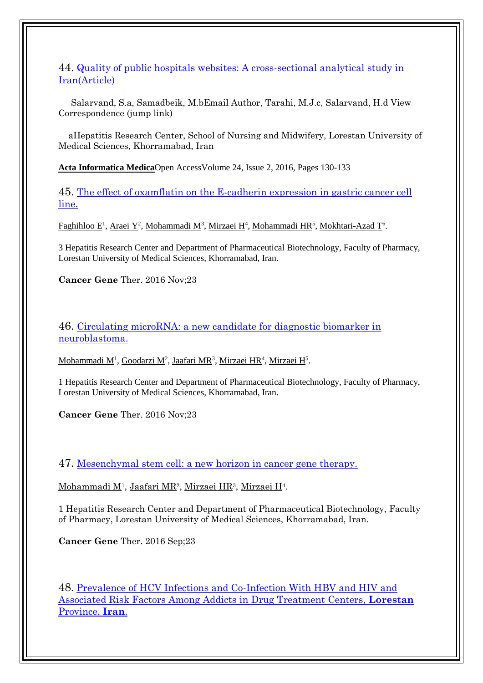44. Quality of public hospitals websites: A cross-sectional analytical study in Iran(Article)

 Salarvand, S.a, Samadbeik, M.bEmail Author, Tarahi, M.J.c, Salarvand, H.d View Correspondence (jump link)

 aHepatitis Research Center, School of Nursing and Midwifery, Lorestan University of Medical Sciences, Khorramabad, Iran

**[Acta Informatica Medica](https://www.scopus.com/sourceid/21100203503?origin=recordpage)**Open AccessVolume 24, Issue 2, 2016, Pages 130-133

45. [The effect of oxamflatin on the E-cadherin expression in gastric cancer cell](https://www.ncbi.nlm.nih.gov/pubmed/27767089)  [line.](https://www.ncbi.nlm.nih.gov/pubmed/27767089)

[Faghihloo E](https://www.ncbi.nlm.nih.gov/pubmed/?term=Faghihloo%20E%5BAuthor%5D&cauthor=true&cauthor_uid=27767089)<sup>1</sup>, [Araei Y](https://www.ncbi.nlm.nih.gov/pubmed/?term=Araei%20Y%5BAuthor%5D&cauthor=true&cauthor_uid=27767089)<sup>2</sup>, [Mohammadi M](https://www.ncbi.nlm.nih.gov/pubmed/?term=Mohammadi%20M%5BAuthor%5D&cauthor=true&cauthor_uid=27767089)<sup>3</sup>, [Mirzaei H](https://www.ncbi.nlm.nih.gov/pubmed/?term=Mirzaei%20H%5BAuthor%5D&cauthor=true&cauthor_uid=27767089)<sup>4</sup>, [Mohammadi HR](https://www.ncbi.nlm.nih.gov/pubmed/?term=Mohammadi%20HR%5BAuthor%5D&cauthor=true&cauthor_uid=27767089)<sup>5</sup>, [Mokhtari-Azad T](https://www.ncbi.nlm.nih.gov/pubmed/?term=Mokhtari-Azad%20T%5BAuthor%5D&cauthor=true&cauthor_uid=27767089)<sup>6</sup>.

3 Hepatitis Research Center and Department of Pharmaceutical Biotechnology, Faculty of Pharmacy, Lorestan University of Medical Sciences, Khorramabad, Iran.

**Cancer Gene** Ther. 2016 Nov;23

46. [Circulating microRNA: a new candidate for diagnostic biomarker in](https://www.ncbi.nlm.nih.gov/pubmed/27740613)  [neuroblastoma.](https://www.ncbi.nlm.nih.gov/pubmed/27740613)

[Mohammadi M](https://www.ncbi.nlm.nih.gov/pubmed/?term=Mohammadi%20M%5BAuthor%5D&cauthor=true&cauthor_uid=27740613)<sup>1</sup>[, Goodarzi M](https://www.ncbi.nlm.nih.gov/pubmed/?term=Goodarzi%20M%5BAuthor%5D&cauthor=true&cauthor_uid=27740613)<sup>2</sup>, [Jaafari MR](https://www.ncbi.nlm.nih.gov/pubmed/?term=Jaafari%20MR%5BAuthor%5D&cauthor=true&cauthor_uid=27740613)<sup>3</sup>, [Mirzaei HR](https://www.ncbi.nlm.nih.gov/pubmed/?term=Mirzaei%20HR%5BAuthor%5D&cauthor=true&cauthor_uid=27740613)<sup>4</sup>, [Mirzaei H](https://www.ncbi.nlm.nih.gov/pubmed/?term=Mirzaei%20H%5BAuthor%5D&cauthor=true&cauthor_uid=27740613)<sup>5</sup>.

1 Hepatitis Research Center and Department of Pharmaceutical Biotechnology, Faculty of Pharmacy, Lorestan University of Medical Sciences, Khorramabad, Iran.

**Cancer Gene** Ther. 2016 Nov;23

47. [Mesenchymal stem cell: a new horizon in cancer gene therapy.](https://www.ncbi.nlm.nih.gov/pubmed/27650780)

<u>[Mohammadi M](https://www.ncbi.nlm.nih.gov/pubmed/?term=Mohammadi%20M%5BAuthor%5D&cauthor=true&cauthor_uid=27650780)1, [Jaafari](https://www.ncbi.nlm.nih.gov/pubmed/?term=Jaafari%20MR%5BAuthor%5D&cauthor=true&cauthor_uid=27650780) MR2, [Mirzaei HR](https://www.ncbi.nlm.nih.gov/pubmed/?term=Mirzaei%20HR%5BAuthor%5D&cauthor=true&cauthor_uid=27650780)3, [Mirzaei H](https://www.ncbi.nlm.nih.gov/pubmed/?term=Mirzaei%20H%5BAuthor%5D&cauthor=true&cauthor_uid=27650780)4</u>.

1 Hepatitis Research Center and Department of Pharmaceutical Biotechnology, Faculty of Pharmacy, Lorestan University of Medical Sciences, Khorramabad, Iran.

**Cancer Gene** Ther. 2016 Sep;23

48. [Prevalence of HCV Infections and Co-Infection With HBV and HIV and](https://www.ncbi.nlm.nih.gov/pubmed/27162762)  [Associated Risk Factors Among Addicts in Drug Treatment Centers,](https://www.ncbi.nlm.nih.gov/pubmed/27162762) **Lorestan** [Province,](https://www.ncbi.nlm.nih.gov/pubmed/27162762) **Iran**.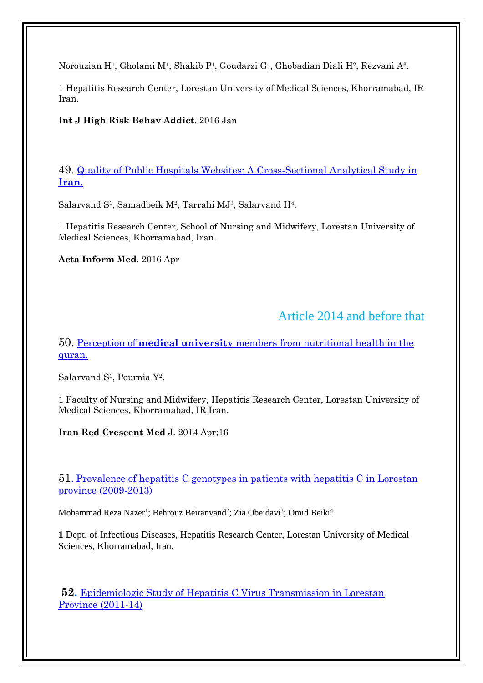[Norouzian H](https://www.ncbi.nlm.nih.gov/pubmed/?term=Norouzian%20H%5BAuthor%5D&cauthor=true&cauthor_uid=27162762)<sup>1</sup>, [Gholami M](https://www.ncbi.nlm.nih.gov/pubmed/?term=Gholami%20M%5BAuthor%5D&cauthor=true&cauthor_uid=27162762)<sup>1</sup>, [Shakib P](https://www.ncbi.nlm.nih.gov/pubmed/?term=Shakib%20P%5BAuthor%5D&cauthor=true&cauthor_uid=27162762)<sup>1</sup>, [Goudarzi G](https://www.ncbi.nlm.nih.gov/pubmed/?term=Goudarzi%20G%5BAuthor%5D&cauthor=true&cauthor_uid=27162762)<sup>1</sup>, [Ghobadian Diali H](https://www.ncbi.nlm.nih.gov/pubmed/?term=Ghobadian%20Diali%20H%5BAuthor%5D&cauthor=true&cauthor_uid=27162762)<sup>2</sup>, [Rezvani A](https://www.ncbi.nlm.nih.gov/pubmed/?term=Rezvani%20A%5BAuthor%5D&cauthor=true&cauthor_uid=27162762)<sup>3</sup>.

1 Hepatitis Research Center, Lorestan University of Medical Sciences, Khorramabad, IR Iran.

**Int J High Risk Behav Addict**. 2016 Jan

49. [Quality of Public Hospitals Websites: A Cross-Sectional Analytical Study in](https://www.ncbi.nlm.nih.gov/pubmed/27147806)  **[Iran](https://www.ncbi.nlm.nih.gov/pubmed/27147806)**.

[Salarvand S](https://www.ncbi.nlm.nih.gov/pubmed/?term=Salarvand%20S%5BAuthor%5D&cauthor=true&cauthor_uid=27147806)<sup>1</sup>, [Samadbeik M](https://www.ncbi.nlm.nih.gov/pubmed/?term=Samadbeik%20M%5BAuthor%5D&cauthor=true&cauthor_uid=27147806)<sup>2</sup>, [Tarrahi MJ](https://www.ncbi.nlm.nih.gov/pubmed/?term=Tarrahi%20MJ%5BAuthor%5D&cauthor=true&cauthor_uid=27147806)<sup>3</sup>, [Salarvand H](https://www.ncbi.nlm.nih.gov/pubmed/?term=Salarvand%20H%5BAuthor%5D&cauthor=true&cauthor_uid=27147806)<sup>4</sup>.

1 Hepatitis Research Center, School of Nursing and Midwifery, Lorestan University of Medical Sciences, Khorramabad, Iran.

**Acta Inform Med**. 2016 Apr

# Article 2014 and before that

50. Perception of **medical university** [members from nutritional health in the](https://www.ncbi.nlm.nih.gov/pubmed/24910781)  [quran.](https://www.ncbi.nlm.nih.gov/pubmed/24910781)

[Salarvand S](https://www.ncbi.nlm.nih.gov/pubmed/?term=Salarvand%20S%5BAuthor%5D&cauthor=true&cauthor_uid=24910781)<sup>1</sup>, [Pournia Y](https://www.ncbi.nlm.nih.gov/pubmed/?term=Pournia%20Y%5BAuthor%5D&cauthor=true&cauthor_uid=24910781)<sup>2</sup>.

1 Faculty of Nursing and Midwifery, Hepatitis Research Center, Lorestan University of Medical Sciences, Khorramabad, IR Iran.

**Iran Red Crescent Med** J. 2014 Apr;16

51. Prevalence of hepatitis C genotypes in patients with hepatitis C in Lorestan province (2009-2013)

<u>[Mohammad Reza Nazer](https://www.ingentaconnect.com/search;jsessionid=37dhrfb7vls2.x-ic-live-03?option2=author&value2=Mohammad+Reza+Nazer)<sup>1</sup>[;](https://www.ingentaconnect.com/search;jsessionid=37dhrfb7vls2.x-ic-live-03?option2=author&value2=Zia+Obeidavi) [Behrouz Beiranvand](https://www.ingentaconnect.com/search;jsessionid=37dhrfb7vls2.x-ic-live-03?option2=author&value2=Behrouz+Beiranvand)<sup>2</sup>; [Zia Obeidavi](https://www.ingentaconnect.com/search;jsessionid=37dhrfb7vls2.x-ic-live-03?option2=author&value2=Zia+Obeidavi)<sup>3</sup>; [Omid Beiki](https://www.ingentaconnect.com/search;jsessionid=37dhrfb7vls2.x-ic-live-03?option2=author&value2=Omid+Beiki)<sup>[4](https://www.ingentaconnect.com/search;jsessionid=37dhrfb7vls2.x-ic-live-03?option2=author&value2=Omid+Beiki)</sup></u>

**1** Dept. of Infectious Diseases, Hepatitis Research Center, Lorestan University of Medical Sciences, Khorramabad, Iran.

**52.** [Epidemiologic Study of Hepatitis C Virus Transmission in Lorestan](http://goums.ac.ir/mljgoums/article-1-903-en.pdf)  [Province \(2011-14\)](http://goums.ac.ir/mljgoums/article-1-903-en.pdf)